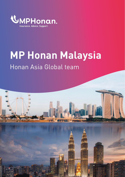

# **MP Honan Malaysia** Honan Asia Global team

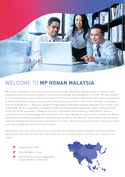

### WELCOME TO **MP HONAN MALAYSIA**

MP Honan in Malaysia is part of the Honan Insurance Group (Honan) an industry leader providing a fully integrated risk and insurance solutions, reinsurance brokerage and management services MP was founded in 1976 and following a joint venture with Honan in 2019, is now known as MP Honan. MP Honan has qualified professionals based in Kuala Lumpur and is a strong service provider in insurance brokerage, risk advisory and risk management in Malaysia. Growth through organic and highly strategic integration with Honan, have enabled MP Honan to continually strengthen resources in key practice arears and regions throughout the world. MP Honan operations in Malaysia provides multifaceted retail brokering, risks advisory services, reinsurance services and management services. For 46+ years MP Honan has put client's needs first. We are passionate about being a true partner, taking the lead as advisor and educator, and thinking creatively about solutions that give the best business outcomes to our clients. We are with you all the way in Insurance, Advice and support going beyond transactional broking.

Honan Asia is proud to have a diverse team of brokers who speak multiple languages come from different backgrounds with different skill sets. This means we are in the best position to service your clients in this region.

- Established in 1993
- 50+ employees in Asia
- Part of the 4th largest independent broker network in the world

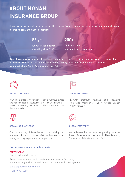### **ABOUT HONAN INSURANCE GROUP**

Honan Asia are proud to be a part of the Honan Group. Honan provides advice and support across insurance, risk, and financial services.

### 55 yrs

An Australian business operating since 1964

#### 200+

Dedicated industry specialists across our offices

Over 55 years we've consistently put our clients' needs first - ensuring they are protected from risks. As we've grown, we've remained steady in our delivery of responsive and tailored solutions, from Australia to South East Asia and the USA.



#### **AUSTRALIAN OWNED**

"Our global office & JV Partner, Honan is Australia owned and was Founded in Melbourne in 1964 by Geoff Honan. MP Honan in Malaysia founded in 1976 and we understand the local market



#### **SPECIALIST KNOWLEDGE**

One of our key differentiators is our ability to manage unique and complex risk profiles. We have strong industry experience to support you.

#### For any assistance outside of Asia:

#### **STEVE PAPPAS**

Commercial Markets Leader

Steve manages the direction and global strategy for Australia, encompassing business development and relationship management.

steve.pappas@honan.com.au

(+61) 3 9947 4358

#### **INDUSTRY LEADER**

\$300M+ premium revenue and exclusive Australian member of the Worldwide Broker Network (WBN)



#### **GLOBAL FOOTPRINT**

We understand how to support global growth, we have offices across Australia, in New Zealand, Singapore, Malaysia and the USA.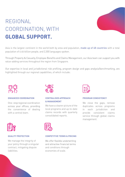### REGIONAL COORDINATION, WITH **GLOBAL SUPPORT.**

Asia is the largest continent in the world both by area and population, made up of 48 countries with a total population of 4.46 billion people, and 2,300 languages spoken.

Through Property & Casualty, Employee Benefits and Claims Management, our Asia team can support you with value-adding services throughout the region from Singapore.

Our expertise in local and jurisdictional risk profiling, program design and gaps analysis/benchmarking, are highlighted through our regional capabilities, of which include:



#### **ENHANCED COORDINATION**

One- stop regional coordination across your offices, providing the convenience of dealing with a central team.



### **& MANAGEMENT**

We have a clearer picture of the local programs and up-to-date claims records with quarterly consolidated reports.



#### **CENTRALISED APPROACH PROGRAM CONSISTENCY**

We close the gaps, remove duplicates across programs in each jurisdiction and provide consistent claims service through global claims management.



#### **QUALITY PROTECTION**

We manage the integrity of your policy through a singular contract, mitigating dispute liabilities.



#### **COMPETITIVE TERMS & PRICING**

We offer flexible underwriting and attractive financial terms and conditions through economies of scale.

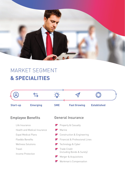

### MARKET SEGMENT **& SPECIALITIES**

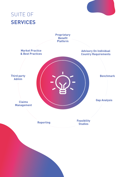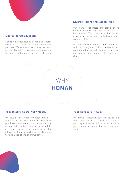

#### Dedicated Global Team

Dedicated global desk designed and tailored solely to service business from our global partners. We have strict service agreements and our Global Promise ensures you receive the advice and support you need, when you

#### Diverse Talent and Capabilities

Our team collaborates and draws on its broad experience and skills to act in your best interest. This diversity of thought and experience means we can build bespoke and creative solutions.

Our ability to converse in over 10 languages, with loss adjusters, local cedents and regulatory bodies, will ensure your client receives the best support in the event of a claim.

## WHY **HONAN**

#### Proven Service Delivery Model

We have a service delivery model that sets timeframes and expectations in advance, so you have transparency and understanding of key deliverables. This is supported by a strong regional coordination model that allows our team to work seamlessly across various jurisdictions and time zones.

#### Your Advocate in Asia

We provide impartial tailored advice that meets your needs, as well as acting as your representative in Asia to advocate for your clients throughout the lifetime of your policies.